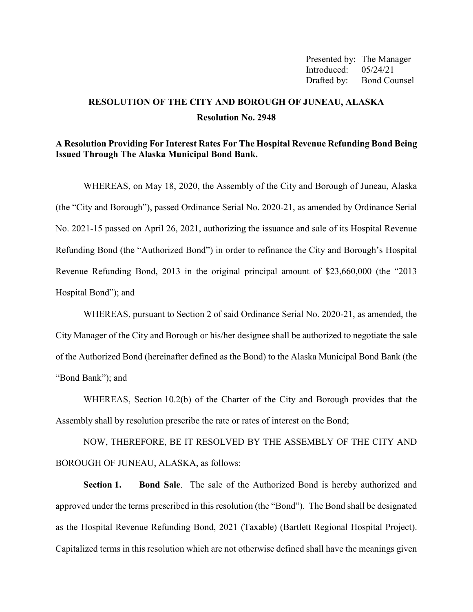Presented by: The Manager Introduced: 05/24/21 Drafted by: Bond Counsel

# **RESOLUTION OF THE CITY AND BOROUGH OF JUNEAU, ALASKA Resolution No. 2948**

#### **A Resolution Providing For Interest Rates For The Hospital Revenue Refunding Bond Being Issued Through The Alaska Municipal Bond Bank.**

WHEREAS, on May 18, 2020, the Assembly of the City and Borough of Juneau, Alaska (the "City and Borough"), passed Ordinance Serial No. 2020-21, as amended by Ordinance Serial No. 2021-15 passed on April 26, 2021, authorizing the issuance and sale of its Hospital Revenue Refunding Bond (the "Authorized Bond") in order to refinance the City and Borough's Hospital Revenue Refunding Bond, 2013 in the original principal amount of \$23,660,000 (the "2013 Hospital Bond"); and

WHEREAS, pursuant to Section 2 of said Ordinance Serial No. 2020-21, as amended, the City Manager of the City and Borough or his/her designee shall be authorized to negotiate the sale of the Authorized Bond (hereinafter defined as the Bond) to the Alaska Municipal Bond Bank (the "Bond Bank"); and

WHEREAS, Section 10.2(b) of the Charter of the City and Borough provides that the Assembly shall by resolution prescribe the rate or rates of interest on the Bond;

NOW, THEREFORE, BE IT RESOLVED BY THE ASSEMBLY OF THE CITY AND BOROUGH OF JUNEAU, ALASKA, as follows:

**Section 1. Bond Sale**. The sale of the Authorized Bond is hereby authorized and approved under the terms prescribed in this resolution (the "Bond"). The Bond shall be designated as the Hospital Revenue Refunding Bond, 2021 (Taxable) (Bartlett Regional Hospital Project). Capitalized terms in this resolution which are not otherwise defined shall have the meanings given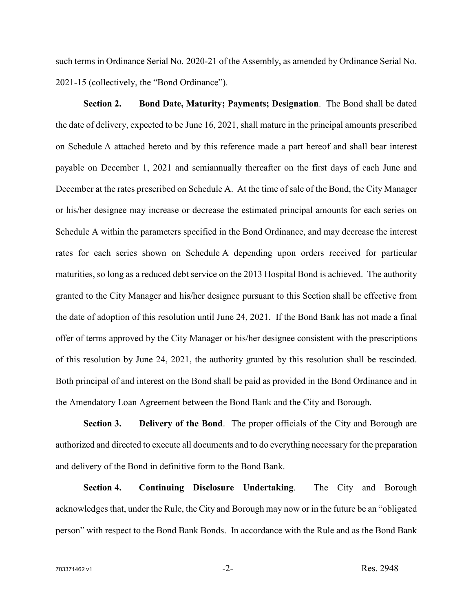such terms in Ordinance Serial No. 2020-21 of the Assembly, as amended by Ordinance Serial No. 2021-15 (collectively, the "Bond Ordinance").

**Section 2. Bond Date, Maturity; Payments; Designation**. The Bond shall be dated the date of delivery, expected to be June 16, 2021, shall mature in the principal amounts prescribed on Schedule A attached hereto and by this reference made a part hereof and shall bear interest payable on December 1, 2021 and semiannually thereafter on the first days of each June and December at the rates prescribed on Schedule A. At the time of sale of the Bond, the City Manager or his/her designee may increase or decrease the estimated principal amounts for each series on Schedule A within the parameters specified in the Bond Ordinance, and may decrease the interest rates for each series shown on Schedule A depending upon orders received for particular maturities, so long as a reduced debt service on the 2013 Hospital Bond is achieved. The authority granted to the City Manager and his/her designee pursuant to this Section shall be effective from the date of adoption of this resolution until June 24, 2021. If the Bond Bank has not made a final offer of terms approved by the City Manager or his/her designee consistent with the prescriptions of this resolution by June 24, 2021, the authority granted by this resolution shall be rescinded. Both principal of and interest on the Bond shall be paid as provided in the Bond Ordinance and in the Amendatory Loan Agreement between the Bond Bank and the City and Borough.

**Section 3. Delivery of the Bond**. The proper officials of the City and Borough are authorized and directed to execute all documents and to do everything necessary for the preparation and delivery of the Bond in definitive form to the Bond Bank.

**Section 4. Continuing Disclosure Undertaking**. The City and Borough acknowledges that, under the Rule, the City and Borough may now or in the future be an "obligated person" with respect to the Bond Bank Bonds. In accordance with the Rule and as the Bond Bank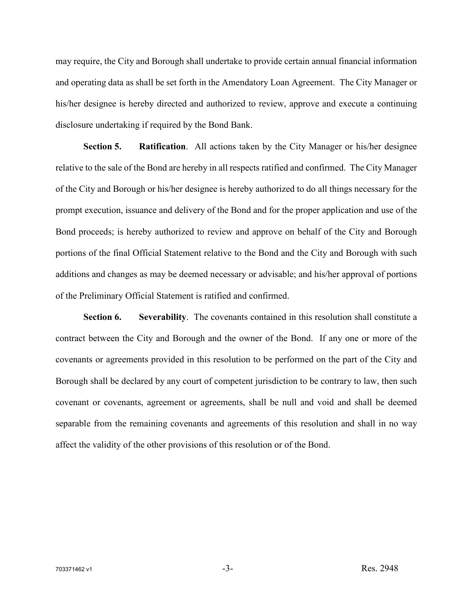may require, the City and Borough shall undertake to provide certain annual financial information and operating data as shall be set forth in the Amendatory Loan Agreement. The City Manager or his/her designee is hereby directed and authorized to review, approve and execute a continuing disclosure undertaking if required by the Bond Bank.

**Section 5. Ratification**. All actions taken by the City Manager or his/her designee relative to the sale of the Bond are hereby in all respects ratified and confirmed. The City Manager of the City and Borough or his/her designee is hereby authorized to do all things necessary for the prompt execution, issuance and delivery of the Bond and for the proper application and use of the Bond proceeds; is hereby authorized to review and approve on behalf of the City and Borough portions of the final Official Statement relative to the Bond and the City and Borough with such additions and changes as may be deemed necessary or advisable; and his/her approval of portions of the Preliminary Official Statement is ratified and confirmed.

**Section 6. Severability**. The covenants contained in this resolution shall constitute a contract between the City and Borough and the owner of the Bond. If any one or more of the covenants or agreements provided in this resolution to be performed on the part of the City and Borough shall be declared by any court of competent jurisdiction to be contrary to law, then such covenant or covenants, agreement or agreements, shall be null and void and shall be deemed separable from the remaining covenants and agreements of this resolution and shall in no way affect the validity of the other provisions of this resolution or of the Bond.

 $703371462 \text{ v1}$  Res. 2948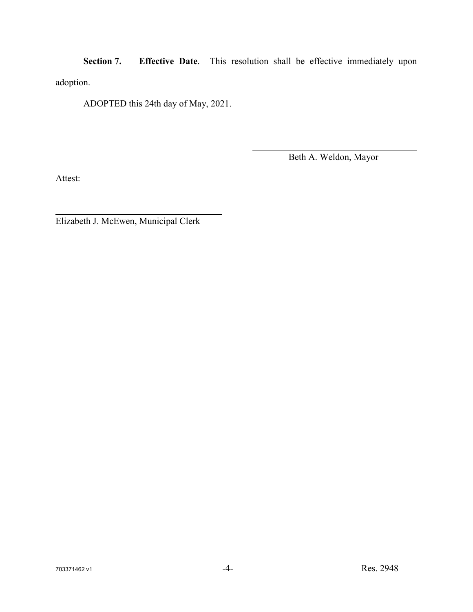**Section 7. Effective Date**. This resolution shall be effective immediately upon adoption.

ADOPTED this 24th day of May, 2021.

Beth A. Weldon, Mayor

Attest:

Elizabeth J. McEwen, Municipal Clerk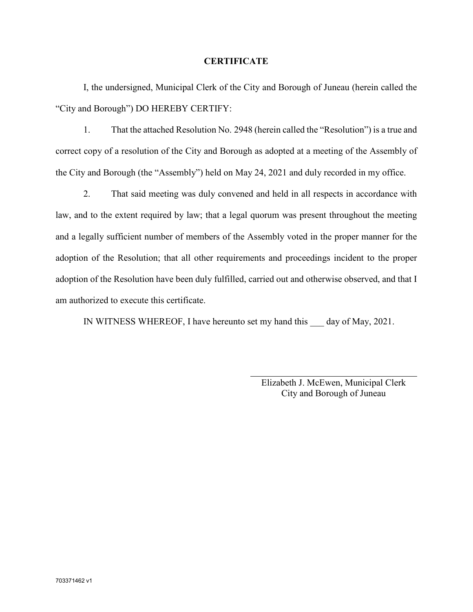#### **CERTIFICATE**

I, the undersigned, Municipal Clerk of the City and Borough of Juneau (herein called the "City and Borough") DO HEREBY CERTIFY:

1. That the attached Resolution No. 2948 (herein called the "Resolution") is a true and correct copy of a resolution of the City and Borough as adopted at a meeting of the Assembly of the City and Borough (the "Assembly") held on May 24, 2021 and duly recorded in my office.

2. That said meeting was duly convened and held in all respects in accordance with law, and to the extent required by law; that a legal quorum was present throughout the meeting and a legally sufficient number of members of the Assembly voted in the proper manner for the adoption of the Resolution; that all other requirements and proceedings incident to the proper adoption of the Resolution have been duly fulfilled, carried out and otherwise observed, and that I am authorized to execute this certificate.

IN WITNESS WHEREOF, I have hereunto set my hand this \_\_\_ day of May, 2021.

Elizabeth J. McEwen, Municipal Clerk City and Borough of Juneau